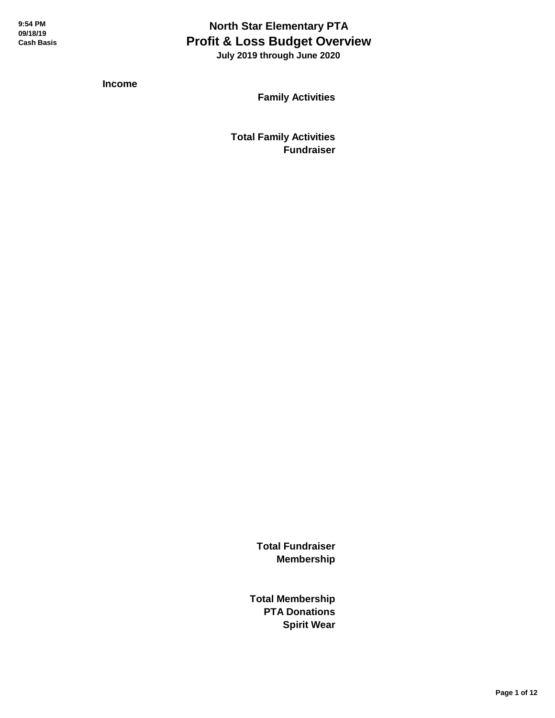## **North Star Elementary PTA Profit & Loss Budget Overview**

 **July 2019 through June 2020**

**Income**

**Family Activities**

**Total Family Activities Fundraiser**

> **Total Fundraiser Membership**

**Total Membership PTA Donations Spirit Wear**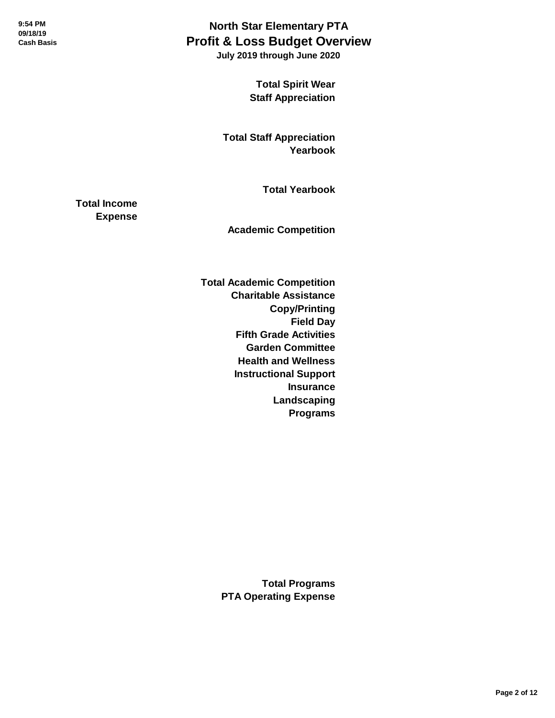**July 2019 through June 2020**

**Total Spirit Wear Staff Appreciation**

**Total Staff Appreciation Yearbook**

**Total Yearbook**

**Total Income Expense**

**Academic Competition**

**Total Academic Competition Charitable Assistance Copy/Printing Field Day Fifth Grade Activities Garden Committee Health and Wellness Instructional Support Insurance Landscaping Programs**

> **Total Programs PTA Operating Expense**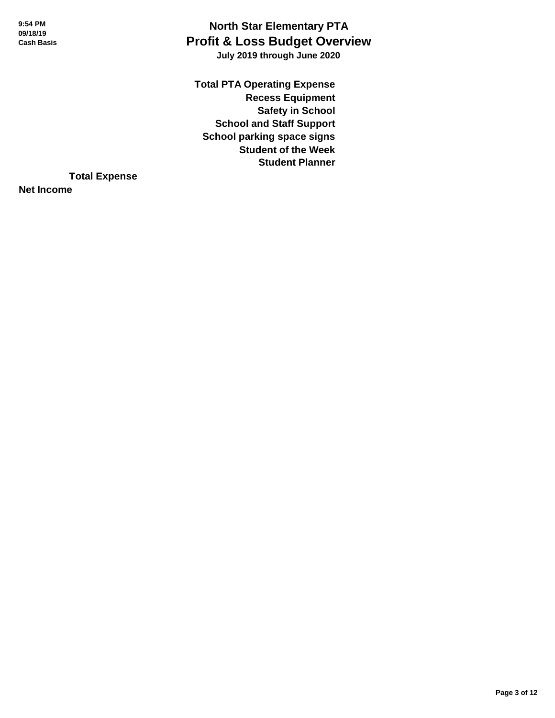#### **North Star Elementary PTA Profit & Loss Budget Overview July 2019 through June 2020**

**Total PTA Operating Expense Recess Equipment Safety in School School and Staff Support School parking space signs Student of the Week Student Planner**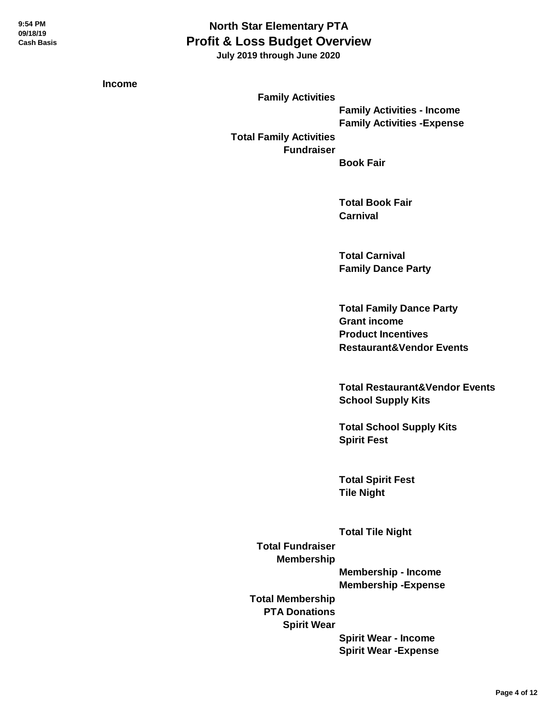**July 2019 through June 2020**

**Income**

**Family Activities Family Activities - Income Family Activities -Expense Total Family Activities Fundraiser**

**Book Fair**

**Total Book Fair Carnival**

**Total Carnival Family Dance Party**

**Total Family Dance Party Grant income Product Incentives Restaurant&Vendor Events**

**Total Restaurant&Vendor Events School Supply Kits**

**Total School Supply Kits Spirit Fest**

**Total Spirit Fest Tile Night**

**Total Tile Night Total Fundraiser Membership Membership - Income Membership -Expense Total Membership PTA Donations Spirit Wear Spirit Wear - Income Spirit Wear -Expense**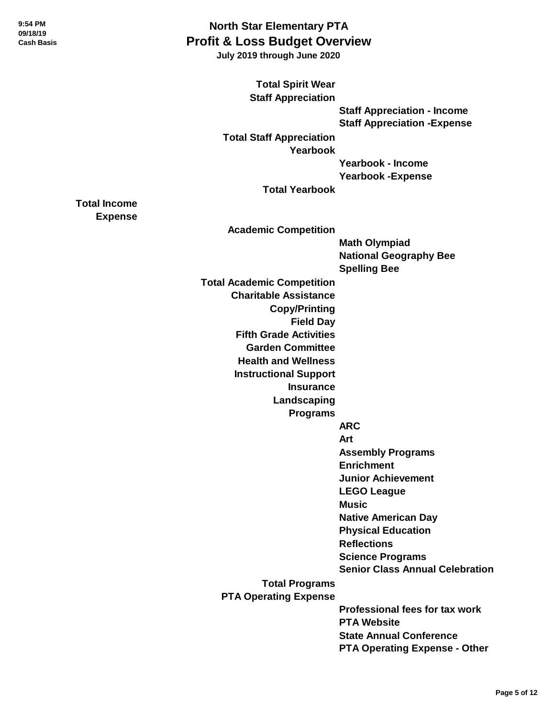**Total Income Expense**

### **North Star Elementary PTA Profit & Loss Budget Overview**

 **July 2019 through June 2020**

**Total Spirit Wear Staff Appreciation Staff Appreciation - Income Staff Appreciation -Expense Total Staff Appreciation Yearbook Yearbook - Income Yearbook -Expense Total Yearbook Academic Competition Math Olympiad National Geography Bee Spelling Bee Total Academic Competition Charitable Assistance Copy/Printing Field Day Fifth Grade Activities Garden Committee Health and Wellness Instructional Support Insurance Landscaping Programs ARC Art Assembly Programs Enrichment Junior Achievement LEGO League Music Native American Day Physical Education Reflections Science Programs Senior Class Annual Celebration Total Programs PTA Operating Expense Professional fees for tax work PTA Website State Annual Conference PTA Operating Expense - Other**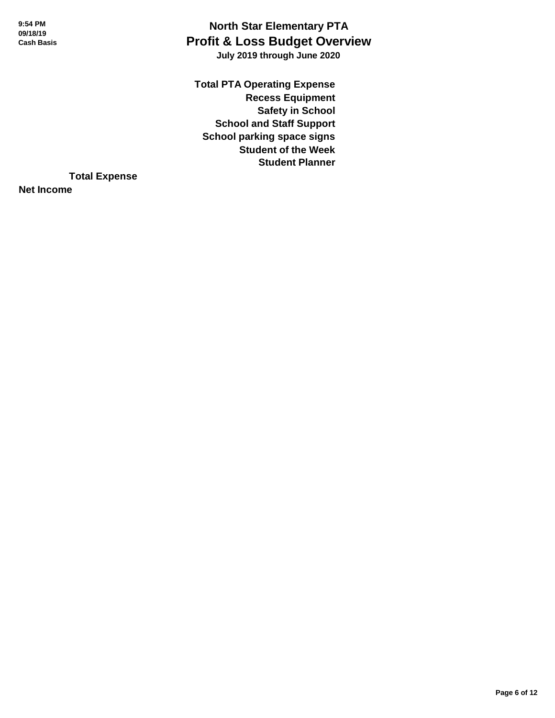#### **North Star Elementary PTA Profit & Loss Budget Overview July 2019 through June 2020**

**Total PTA Operating Expense Recess Equipment Safety in School School and Staff Support School parking space signs Student of the Week Student Planner**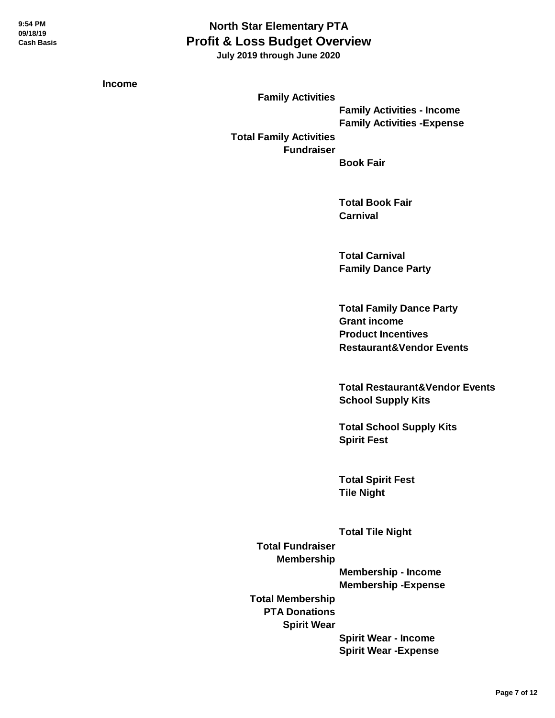**July 2019 through June 2020**

**Income**

**Family Activities Family Activities - Income Family Activities -Expense Total Family Activities Fundraiser**

**Book Fair**

**Total Book Fair Carnival**

**Total Carnival Family Dance Party**

**Total Family Dance Party Grant income Product Incentives Restaurant&Vendor Events**

**Total Restaurant&Vendor Events School Supply Kits**

**Total School Supply Kits Spirit Fest**

**Total Spirit Fest Tile Night**

**Total Tile Night Total Fundraiser Membership Membership - Income Membership -Expense Total Membership PTA Donations Spirit Wear Spirit Wear - Income Spirit Wear -Expense**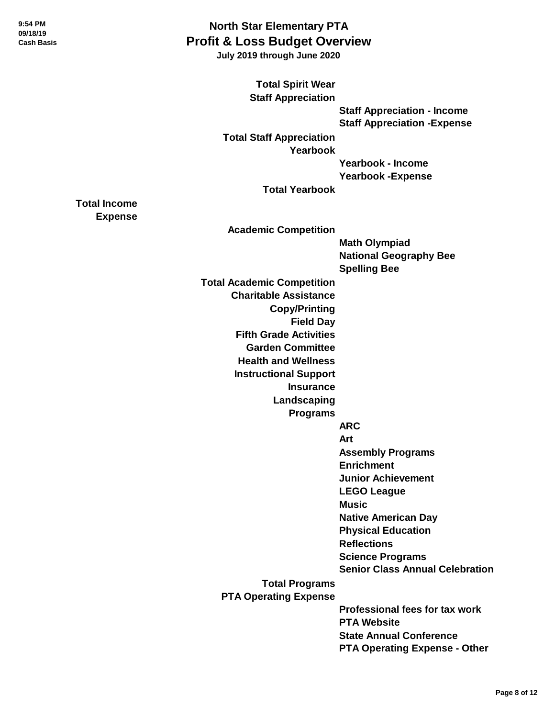**Total Income Expense**

### **North Star Elementary PTA Profit & Loss Budget Overview**

 **July 2019 through June 2020**

**Total Spirit Wear Staff Appreciation Staff Appreciation - Income Staff Appreciation -Expense Total Staff Appreciation Yearbook Yearbook - Income Yearbook -Expense Total Yearbook Academic Competition Math Olympiad National Geography Bee Spelling Bee Total Academic Competition Charitable Assistance Copy/Printing Field Day Fifth Grade Activities Garden Committee Health and Wellness Instructional Support Insurance Landscaping Programs ARC Art Assembly Programs Enrichment Junior Achievement LEGO League Music Native American Day Physical Education Reflections Science Programs Senior Class Annual Celebration Total Programs PTA Operating Expense Professional fees for tax work PTA Website State Annual Conference PTA Operating Expense - Other**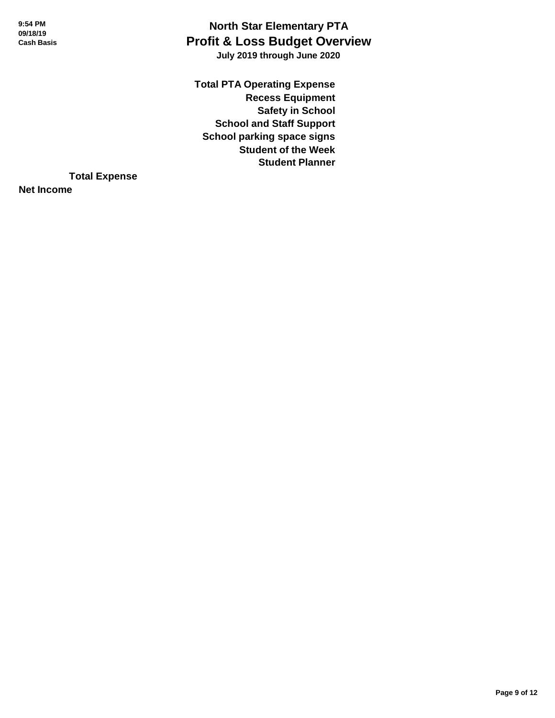#### **North Star Elementary PTA Profit & Loss Budget Overview July 2019 through June 2020**

**Total PTA Operating Expense Recess Equipment Safety in School School and Staff Support School parking space signs Student of the Week Student Planner**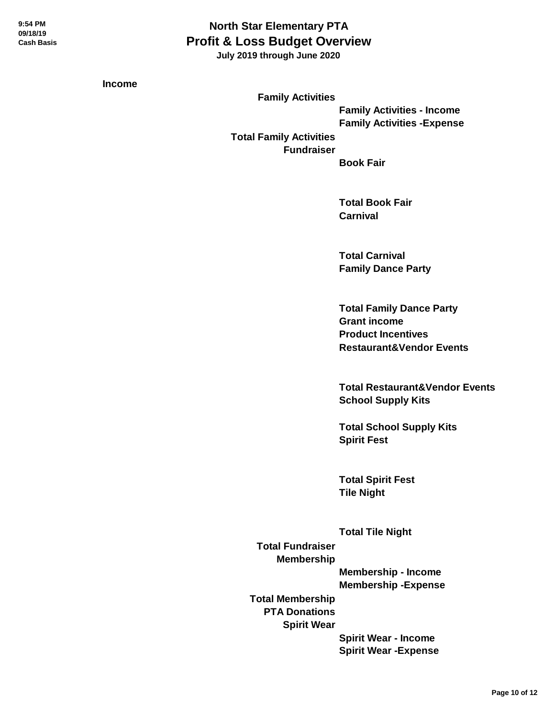**July 2019 through June 2020**

**Income**

**Family Activities Family Activities - Income Family Activities -Expense Total Family Activities Fundraiser**

**Book Fair**

**Total Book Fair Carnival**

**Total Carnival Family Dance Party**

**Total Family Dance Party Grant income Product Incentives Restaurant&Vendor Events**

**Total Restaurant&Vendor Events School Supply Kits**

**Total School Supply Kits Spirit Fest**

**Total Spirit Fest Tile Night**

**Total Tile Night Total Fundraiser Membership Membership - Income Membership -Expense Total Membership PTA Donations Spirit Wear Spirit Wear - Income Spirit Wear -Expense**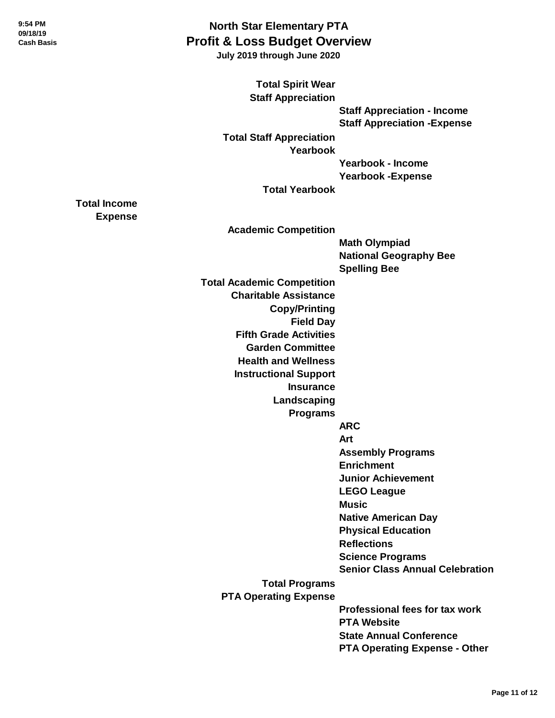**Total Income Expense**

### **North Star Elementary PTA Profit & Loss Budget Overview**

 **July 2019 through June 2020**

**Total Spirit Wear Staff Appreciation Staff Appreciation - Income Staff Appreciation -Expense Total Staff Appreciation Yearbook Yearbook - Income Yearbook -Expense Total Yearbook Academic Competition Math Olympiad National Geography Bee Spelling Bee Total Academic Competition Charitable Assistance Copy/Printing Field Day Fifth Grade Activities Garden Committee Health and Wellness Instructional Support Insurance Landscaping Programs ARC Art Assembly Programs Enrichment Junior Achievement LEGO League Music Native American Day Physical Education Reflections Science Programs Senior Class Annual Celebration Total Programs PTA Operating Expense Professional fees for tax work PTA Website State Annual Conference PTA Operating Expense - Other**